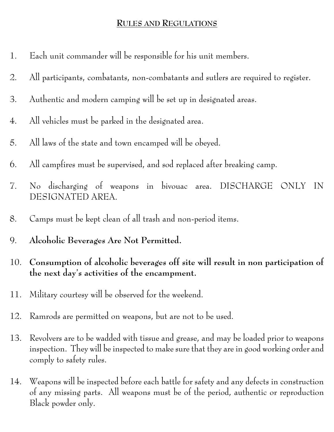## **RULES AND REGULATIONS**

- 1. Each unit commander will be responsible for his unit members.
- 2. All participants, combatants, non-combatants and sutlers are required to register.
- 3. Authentic and modern camping will be set up in designated areas.
- 4. All vehicles must be parked in the designated area.
- 5. All laws of the state and town encamped will be obeyed.
- 6. All campfires must be supervised, and sod replaced after breaking camp.
- 7. No discharging of weapons in bivouac area. DISCHARGE ONLY IN DESIGNATED AREA.
- 8. Camps must be kept clean of all trash and non-period items.
- 9. **Alcoholic Beverages Are Not Permitted.**
- 10. **Consumption of alcoholic beverages off site will result in non participation of the next day's activities of the encampment.**
- 11. Military courtesy will be observed for the weekend.
- 12. Ramrods are permitted on weapons, but are not to be used.
- 13. Revolvers are to be wadded with tissue and grease, and may be loaded prior to weapons inspection. They will be inspected to make sure that they are in good working order and comply to safety rules.
- 14. Weapons will be inspected before each battle for safety and any defects in construction of any missing parts. All weapons must be of the period, authentic or reproduction Black powder only.